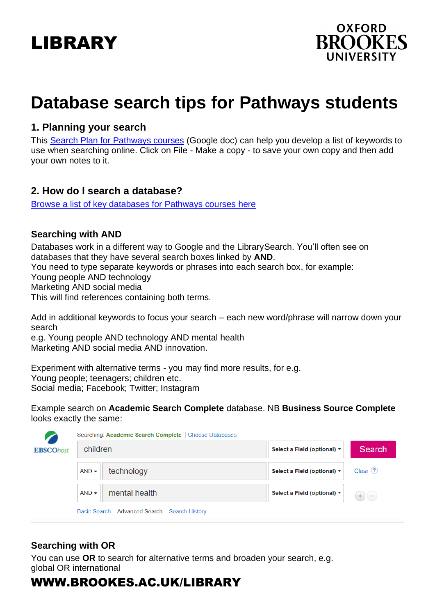# LIBRARY



# **Database search tips for Pathways students**

### **1. Planning your search**

This Search Plan [for Pathways courses](https://docs.google.com/document/d/1d7B5ANoHmc21eP4EYTvT8-wbRFoXSv7QOWwoyLlN2Tk/edit?usp=sharing) (Google doc) can help you develop a list of keywords to use when searching online. Click on File - Make a copy - to save your own copy and then add your own notes to it.

### **2. How do I search a database?**

[Browse a list of key databases for Pathways courses](https://www.brookes.ac.uk/library/resources-and-services/course-resource-help/pathways-programmes) here

### **Searching with AND**

Databases work in a different way to Google and the LibrarySearch. You'll often see on databases that they have several search boxes linked by **AND**. You need to type separate keywords or phrases into each search box, for example: Young people AND technology Marketing AND social media This will find references containing both terms.

Add in additional keywords to focus your search – each new word/phrase will narrow down your search

e.g. Young people AND technology AND mental health Marketing AND social media AND innovation.

Experiment with alternative terms - you may find more results, for e.g. Young people; teenagers; children etc. Social media; Facebook; Twitter; Instagram

Example search on **Academic Search Complete** database. NB **Business Source Complete** looks exactly the same:

|                  | Searching: Academic Search Complete   Choose Databases |                                                       |                             |               |  |  |
|------------------|--------------------------------------------------------|-------------------------------------------------------|-----------------------------|---------------|--|--|
| <b>EBSCOhost</b> | children                                               |                                                       | Select a Field (optional) ▼ | <b>Search</b> |  |  |
|                  | $AND -$                                                | technology                                            | Select a Field (optional) ▼ | Clear $(2)$   |  |  |
|                  | $AND -$                                                | mental health                                         | Select a Field (optional) ▼ | $+$ (-        |  |  |
|                  |                                                        | Basic Search Advanced Search<br><b>Search History</b> |                             |               |  |  |

## **Searching with OR**

You can use **OR** to search for alternative terms and broaden your search, e.g. global OR international

# WWW.BROOKES.AC.UK/LIBRARY